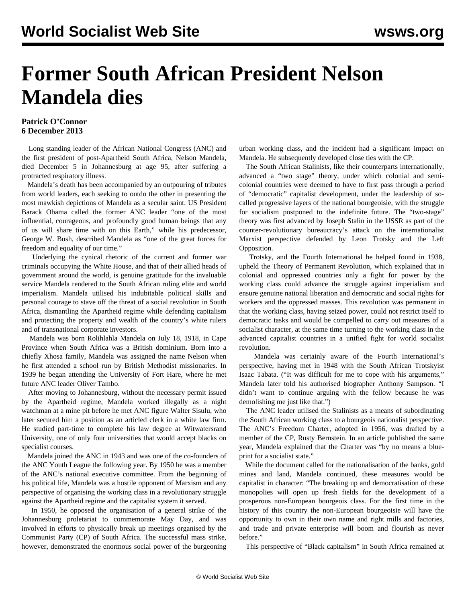## **Former South African President Nelson Mandela dies**

## **Patrick O'Connor 6 December 2013**

 Long standing leader of the African National Congress (ANC) and the first president of post-Apartheid South Africa, Nelson Mandela, died December 5 in Johannesburg at age 95, after suffering a protracted respiratory illness.

 Mandela's death has been accompanied by an outpouring of tributes from world leaders, each seeking to outdo the other in presenting the most mawkish depictions of Mandela as a secular saint. US President Barack Obama called the former ANC leader "one of the most influential, courageous, and profoundly good human beings that any of us will share time with on this Earth," while his predecessor, George W. Bush, described Mandela as "one of the great forces for freedom and equality of our time."

 Underlying the cynical rhetoric of the current and former war criminals occupying the White House, and that of their allied heads of government around the world, is genuine gratitude for the invaluable service Mandela rendered to the South African ruling elite and world imperialism. Mandela utilised his indubitable political skills and personal courage to stave off the threat of a social revolution in South Africa, dismantling the Apartheid regime while defending capitalism and protecting the property and wealth of the country's white rulers and of transnational corporate investors.

 Mandela was born Rolihlahla Mandela on July 18, 1918, in Cape Province when South Africa was a British dominium. Born into a chiefly Xhosa family, Mandela was assigned the name Nelson when he first attended a school run by British Methodist missionaries. In 1939 he began attending the University of Fort Hare, where he met future ANC leader Oliver Tambo.

 After moving to Johannesburg, without the necessary permit issued by the Apartheid regime, Mandela worked illegally as a night watchman at a mine pit before he met ANC figure Walter Sisulu, who later secured him a position as an articled clerk in a white law firm. He studied part-time to complete his law degree at Witwatersrand University, one of only four universities that would accept blacks on specialist courses.

 Mandela joined the ANC in 1943 and was one of the co-founders of the ANC Youth League the following year. By 1950 he was a member of the ANC's national executive committee. From the beginning of his political life, Mandela was a hostile opponent of Marxism and any perspective of organising the working class in a revolutionary struggle against the Apartheid regime and the capitalist system it served.

 In 1950, he opposed the organisation of a general strike of the Johannesburg proletariat to commemorate May Day, and was involved in efforts to physically break up meetings organised by the Communist Party (CP) of South Africa. The successful mass strike, however, demonstrated the enormous social power of the burgeoning urban working class, and the incident had a significant impact on Mandela. He subsequently developed close ties with the CP.

 The South African Stalinists, like their counterparts internationally, advanced a "two stage" theory, under which colonial and semicolonial countries were deemed to have to first pass through a period of "democratic" capitalist development, under the leadership of socalled progressive layers of the national bourgeoisie, with the struggle for socialism postponed to the indefinite future. The "two-stage" theory was first advanced by Joseph Stalin in the USSR as part of the counter-revolutionary bureaucracy's attack on the internationalist Marxist perspective defended by Leon Trotsky and the Left Opposition.

 Trotsky, and the Fourth International he helped found in 1938, upheld the Theory of Permanent Revolution, which explained that in colonial and oppressed countries only a fight for power by the working class could advance the struggle against imperialism and ensure genuine national liberation and democratic and social rights for workers and the oppressed masses. This revolution was permanent in that the working class, having seized power, could not restrict itself to democratic tasks and would be compelled to carry out measures of a socialist character, at the same time turning to the working class in the advanced capitalist countries in a unified fight for world socialist revolution.

 Mandela was certainly aware of the Fourth International's perspective, having met in 1948 with the South African Trotskyist Isaac Tabata. ("It was difficult for me to cope with his arguments," Mandela later told his authorised biographer Anthony Sampson. "I didn't want to continue arguing with the fellow because he was demolishing me just like that.")

 The ANC leader utilised the Stalinists as a means of subordinating the South African working class to a bourgeois nationalist perspective. The ANC's Freedom Charter, adopted in 1956, was drafted by a member of the CP, Rusty Bernstein. In an article published the same year, Mandela explained that the Charter was "by no means a blueprint for a socialist state."

 While the document called for the nationalisation of the banks, gold mines and land, Mandela continued, these measures would be capitalist in character: "The breaking up and democratisation of these monopolies will open up fresh fields for the development of a prosperous non-European bourgeois class. For the first time in the history of this country the non-European bourgeoisie will have the opportunity to own in their own name and right mills and factories, and trade and private enterprise will boom and flourish as never before."

This perspective of "Black capitalism" in South Africa remained at